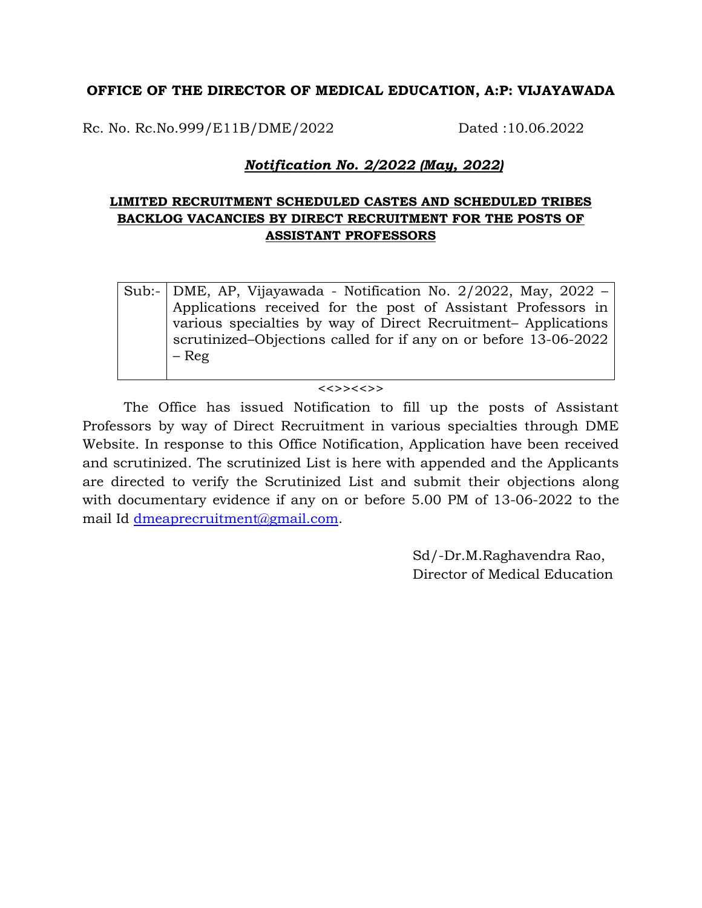## **OFFICE OF THE DIRECTOR OF MEDICAL EDUCATION, A:P: VIJAYAWADA**

Rc. No. Rc.No.999/E11B/DME/2022 Dated :10.06.2022

## *Notification No. 2/2022 (May, 2022)*

## **LIMITED RECRUITMENT SCHEDULED CASTES AND SCHEDULED TRIBES BACKLOG VACANCIES BY DIRECT RECRUITMENT FOR THE POSTS OF ASSISTANT PROFESSORS**

Sub:- DME, AP, Vijayawada - Notification No. 2/2022, May, 2022 – Applications received for the post of Assistant Professors in various specialties by way of Direct Recruitment– Applications scrutinized–Objections called for if any on or before 13-06-2022 – Reg

## $\langle \langle \rangle$

The Office has issued Notification to fill up the posts of Assistant Professors by way of Direct Recruitment in various specialties through DME Website. In response to this Office Notification, Application have been received and scrutinized. The scrutinized List is here with appended and the Applicants are directed to verify the Scrutinized List and submit their objections along with documentary evidence if any on or before 5.00 PM of 13-06-2022 to the mail Id [dmeaprecruitment@gmail.com.](mailto:dmeaprecruitment@gmail.com)

> Sd/-Dr.M.Raghavendra Rao, Director of Medical Education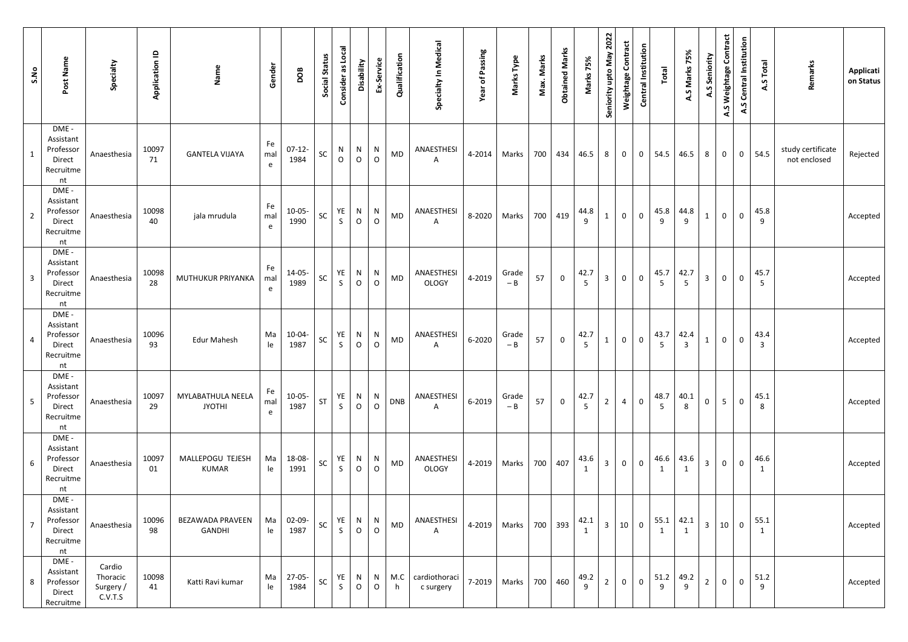| Post Name<br>S.No                                                              | Specialty                                  | Application ID | Name                               | Gender         | DOB              | Social Status | Consider as Local           | Disability        | Ex-Service   | Qualification | Specialty In Medical       | Year of Passing | Marks Type     | Max. Marks | <b>Obtained Marks</b> | Marks 75%               | Seniority upto May 2022 | Weightage Contract | <b>Central Institution</b> | Total     | 75%<br>A.S Marks       | A.S Seniority  | A.S Weightage Contract | <b>Central Institution</b><br>A.S | Total<br>A.S           | Remarks                           | <b>Applicati</b><br>on Status |
|--------------------------------------------------------------------------------|--------------------------------------------|----------------|------------------------------------|----------------|------------------|---------------|-----------------------------|-------------------|--------------|---------------|----------------------------|-----------------|----------------|------------|-----------------------|-------------------------|-------------------------|--------------------|----------------------------|-----------|------------------------|----------------|------------------------|-----------------------------------|------------------------|-----------------------------------|-------------------------------|
| DME -<br>Assistant<br>Professor<br>Direct<br>Recruitme<br>nt                   | Anaesthesia                                | 10097<br>71    | <b>GANTELA VIJAYA</b>              | Fe<br>mal<br>e | $07-12-$<br>1984 | SC            | $\mathsf{N}$<br>$\mathsf O$ | N<br>$\circ$      | N<br>$\circ$ | MD            | ANAESTHESI<br>A            | 4-2014          | Marks          | 700        | 434                   | 46.5                    | 8                       | $\overline{0}$     | $\overline{0}$             | 54.5      | 46.5                   | 8              | $\mathbf 0$            | $\overline{0}$                    | 54.5                   | study certificate<br>not enclosed | Rejected                      |
| DME -<br>Assistant<br>Professor<br>$\overline{2}$<br>Direct<br>Recruitme<br>nt | Anaesthesia                                | 10098<br>40    | jala mrudula                       | Fe<br>mal<br>e | $10-05-$<br>1990 | SC            | YE<br>$\mathsf{S}$          | N<br>$\circ$      | N<br>$\circ$ | MD            | ANAESTHESI<br>A            |                 | 8-2020   Marks |            | 700 419               | 44.8<br>9               | $\mathbf{1}$            | $\circ$            | $\overline{0}$             | 45.8      | 44.8<br>9              | $\mathbf{1}$   | $\mathbf 0$            | $\mathbf 0$                       | 45.8<br>9              |                                   | Accepted                      |
| DME -<br>Assistant<br>Professor<br>3<br>Direct<br>Recruitme<br>nt              | Anaesthesia                                | 10098<br>28    | MUTHUKUR PRIYANKA                  | Fe<br>mal<br>e | 14-05-<br>1989   | SC            | YE<br>$\mathsf{S}$          | N<br>$\circ$      | N<br>$\circ$ | MD            | ANAESTHESI<br><b>OLOGY</b> | 4-2019          | Grade<br>$-B$  | 57         | $\mathbf 0$           | 42.7<br>5               | $\overline{3}$          | $\overline{0}$     | $\mathsf 0$                | 45.7      | 42.7<br>5 <sup>1</sup> | $\overline{3}$ | $\mathbf 0$            | $\mathbf 0$                       | 45.7<br>$5\phantom{.}$ |                                   | Accepted                      |
| DME -<br>Assistant<br>Professor<br>4<br>Direct<br>Recruitme<br>nt              | Anaesthesia                                | 10096<br>93    | <b>Edur Mahesh</b>                 | Ma<br>le       | 10-04-<br>1987   | SC            | YE<br>$\mathsf{S}$          | N<br>$\mathsf{O}$ | N<br>$\circ$ | MD            | ANAESTHESI<br>$\mathsf{A}$ | 6-2020          | Grade<br>$-B$  | 57         | $\mathbf 0$           | 42.7<br>5 <sup>5</sup>  | $\mathbf{1}$            | $\circ$            | $\mathbf 0$                | 43.7<br>5 | 42.4<br>$\mathbf{3}$   | $\mathbf{1}$   | $\mathbf 0$            | $\mathbf 0$                       | 43.4<br>$\overline{3}$ |                                   | Accepted                      |
| DME -<br>Assistant<br>Professor<br>5<br>Direct<br>Recruitme<br>nt              | Anaesthesia                                | 10097<br>29    | MYLABATHULA NEELA<br><b>JYOTHI</b> | Fe<br>mal<br>e | $10-05-$<br>1987 | ST            | YE<br>S                     | N<br>$\circ$      | N<br>$\circ$ | <b>DNB</b>    | ANAESTHESI<br>$\mathsf{A}$ | 6-2019          | Grade<br>$-B$  | 57         | $\mathbf 0$           | 42.7<br>$5\overline{)}$ | $2^{\circ}$             | $\overline{4}$     | $\mathbf 0$                | 48.7      | 40.1<br>8              | $\mathbf 0$    | 5 <sup>5</sup>         | $\mathbf 0$                       | 45.1<br>8              |                                   | Accepted                      |
| DME -<br>Assistant<br>Professor<br>6<br>Direct<br>Recruitme<br>nt              | Anaesthesia                                | 10097<br>01    | MALLEPOGU TEJESH<br>KUMAR          | Ma<br>le       | 18-08-<br>1991   | SC            | YE<br>$\mathsf{S}$          | N<br>$\circ$      | N<br>$\circ$ | MD            | ANAESTHESI<br><b>OLOGY</b> |                 | 4-2019   Marks | 700        | 407                   | 43.6<br>$\mathbf{1}$    | 3 <sup>1</sup>          | $\overline{0}$     | $\mathbf 0$                | 46.6<br>1 | 43.6                   | $\overline{3}$ | $\mathbf{0}$           | $\mathbf 0$                       | 46.6<br>$\mathbf{1}$   |                                   | Accepted                      |
| DME -<br>Assistant<br>Professor<br>7<br>Direct<br>Recruitme<br>nt              | Anaesthesia                                | 10096<br>98    | BEZAWADA PRAVEEN<br><b>GANDHI</b>  | Ma<br>le       | 02-09-<br>1987   | SC            | YE<br>$\mathsf{S}$          | N<br>$\mathsf O$  | N<br>$\circ$ | MD            | ANAESTHESI<br>A            | 4-2019          | Marks          | 700        | 393                   | 42.1<br>$\mathbf{1}$    | $\overline{\mathbf{3}}$ | 10                 | $\overline{0}$             | 55.1      | 42.1                   | $\mathbf{3}$   | 10                     | $\mathbf 0$                       | 55.1<br>$\mathbf{1}$   |                                   | Accepted                      |
| DME -<br>Assistant<br>Professor<br>8<br>Direct<br>Recruitme                    | Cardio<br>Thoracic<br>Surgery /<br>C.V.T.S | 10098<br>41    | Katti Ravi kumar                   | Ma<br>le       | $27-05-$<br>1984 | SC            | YE<br>$\mathsf{S}$          | N<br>$\mathsf{O}$ | N<br>$\circ$ | M.C<br>h      | cardiothoraci<br>c surgery |                 | 7-2019   Marks |            | 700 460               | 49.2<br>9               | $\overline{2}$          | $\overline{0}$     | $\mathsf 0$                | 51.2<br>9 | 49.2<br>9              | $2^{\circ}$    | $\mathbf 0$            | $\mathbf 0$                       | 51.2<br>9              |                                   | Accepted                      |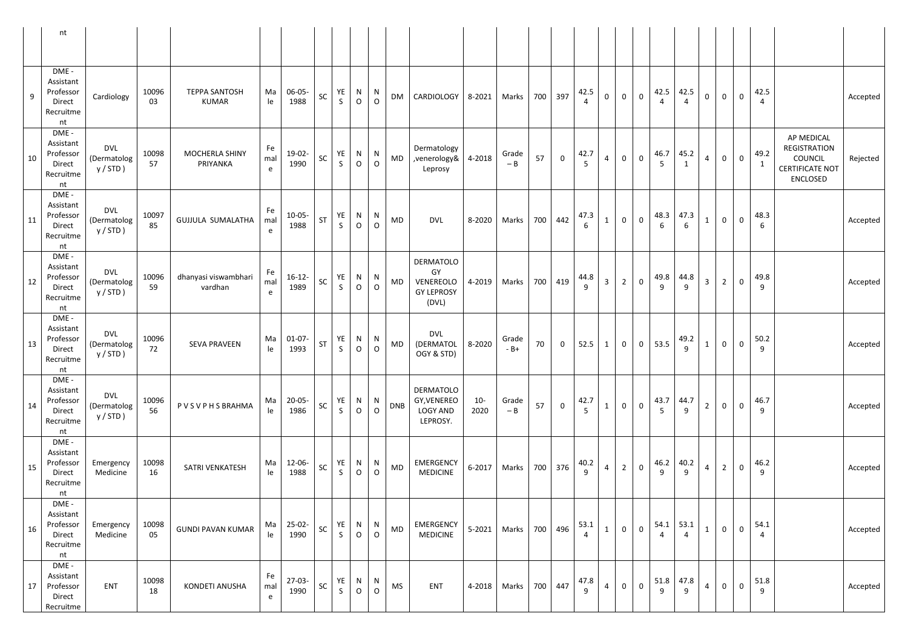|    | nt                                                           |                                          |             |                                      |                           |                     |    |                    |                     |                     |            |                                                                   |                |                |     |                |                        |                |                |                |                         |           |                         |                     |              |                        |                                                                                                       |
|----|--------------------------------------------------------------|------------------------------------------|-------------|--------------------------------------|---------------------------|---------------------|----|--------------------|---------------------|---------------------|------------|-------------------------------------------------------------------|----------------|----------------|-----|----------------|------------------------|----------------|----------------|----------------|-------------------------|-----------|-------------------------|---------------------|--------------|------------------------|-------------------------------------------------------------------------------------------------------|
| 9  | DME -<br>Assistant<br>Professor<br>Direct<br>Recruitme<br>nt | Cardiology                               | 10096<br>03 | <b>TEPPA SANTOSH</b><br><b>KUMAR</b> | Ma<br>le                  | 06-05-<br>1988      | SC | YE<br>$\mathsf{S}$ | N<br>$\overline{O}$ | N<br>$\mathsf{O}$   | DM         | CARDIOLOGY                                                        | 8-2021         | <b>Marks</b>   | 700 | 397            | 42.5                   | $\mathbf 0$    | $\mathbf{0}$   | $\mathbf 0$    | 42.5                    | 42.5      | $\pmb{0}$               | $\mathsf{O}\xspace$ | $\mathbf 0$  | 42.5<br>$\overline{a}$ | Accepted                                                                                              |
| 10 | DME -<br>Assistant<br>Professor<br>Direct<br>Recruitme<br>nt | <b>DVL</b><br>(Dermatolog<br>y / STD)    | 10098<br>57 | MOCHERLA SHINY<br>PRIYANKA           | Fe<br>mal<br>e            | 19-02-<br>1990      | SC | YE<br>$\mathsf{S}$ | N<br>$\overline{O}$ | N<br>$\circ$        | MD         | Dermatology<br>,venerology&<br>Leprosy                            | 4-2018         | Grade<br>$- B$ | 57  | $\overline{0}$ | 42.7<br>$\overline{5}$ | $\overline{4}$ | $\overline{0}$ | $\mathsf 0$    | 46.7<br>$5\overline{)}$ | 45.2      | $\overline{4}$          | $\mathsf{O}\xspace$ | $\mathbf 0$  | 49.2<br>$\mathbf{1}$   | AP MEDICAL<br>REGISTRATION<br><b>COUNCIL</b><br>Rejected<br><b>CERTIFICATE NOT</b><br><b>ENCLOSED</b> |
| 11 | DME -<br>Assistant<br>Professor<br>Direct<br>Recruitme<br>nt | <b>DVL</b><br>(Dermatolog<br>y / STD )   | 10097<br>85 | <b>GUJJULA SUMALATHA</b>             | Fe<br>mal<br>e            | $10-05-$<br>1988    | ST | YE<br>$\mathsf{S}$ | N<br>$\overline{O}$ | N<br>$\overline{O}$ | MD         | <b>DVL</b>                                                        | 8-2020         | Marks          | 700 | 442            | 47.3<br>6              | $\mathbf{1}$   | $\overline{0}$ | $\mathbf 0$    | 48.3<br>6               | 47.3      | $\mathbf{1}$            | $\mathsf{O}\xspace$ | $\mathbf 0$  | 48.3<br>6              | Accepted                                                                                              |
| 12 | DME -<br>Assistant<br>Professor<br>Direct<br>Recruitme<br>nt | <b>DVL</b><br>(Dermatolog<br>y / STD)    | 10096<br>59 | dhanyasi viswambhari<br>vardhan      | Fe<br>mal<br>$\mathsf{e}$ | $16-12-$<br>1989    | SC | YE<br>$\mathsf{S}$ | N<br>$\overline{O}$ | N<br>$\circ$        | <b>MD</b>  | <b>DERMATOLO</b><br>GY<br>VENEREOLO<br><b>GY LEPROSY</b><br>(DVL) | 4-2019         | Marks          | 700 | 419            | 44.8<br>$\mathbf{q}$   | $\overline{3}$ | $2^{\circ}$    | $\mathsf 0$    | 49.8<br>9               | 44.8<br>q | $\overline{\mathbf{3}}$ | $\overline{2}$      | $\mathbf 0$  | 49.8<br>9              | Accepted                                                                                              |
| 13 | DME -<br>Assistant<br>Professor<br>Direct<br>Recruitme<br>nt | <b>DVL</b><br>(Dermatolog<br>$y / STD$ ) | 10096<br>72 | <b>SEVA PRAVEEN</b>                  | Ma<br>le                  | $01-07-$<br>1993    | ST | YE<br>$\mathsf{S}$ | N<br>$\overline{O}$ | N<br>$\circ$        | MD         | <b>DVL</b><br>(DERMATOL<br>OGY & STD)                             | 8-2020         | Grade<br>$-B+$ | 70  | $\mathbf 0$    | 52.5                   | $\mathbf{1}$   | $\overline{0}$ | $\overline{0}$ | 53.5                    | 49.2      | $\mathbf{1}$            | $\mathbf 0$         | $\mathbf 0$  | 50.2<br>9              | Accepted                                                                                              |
| 14 | DME -<br>Assistant<br>Professor<br>Direct<br>Recruitme<br>nt | <b>DVL</b><br>(Dermatolog<br>$y / STD$ ) | 10096<br>56 | PVSVPHSBRAHMA                        | Ma<br>le                  | $20 - 05 -$<br>1986 | SC | YE<br>S            | N<br>$\mathsf{O}$   | N<br>$\circ$        | <b>DNB</b> | DERMATOLO<br>GY, VENEREO<br><b>LOGY AND</b><br>LEPROSY.           | $10 -$<br>2020 | Grade<br>$- B$ | 57  | $\mathbf 0$    | 42.7<br>$\overline{5}$ | $\mathbf{1}$   | $\overline{0}$ | $\mathbf 0$    | 43.7<br>5               | 44.7<br>9 | $2^{\circ}$             | $\mathbf{0}$        | $\mathbf 0$  | 46.7<br>9              | Accepted                                                                                              |
| 15 | DME -<br>Assistant<br>Professor<br>Direct<br>Recruitme<br>nt | Emergency<br>Medicine                    | 10098<br>16 | SATRI VENKATESH                      | Ma<br>le                  | 12-06-<br>1988      | SC | YE<br>S.           | N<br>$\circ$        | N<br>$\overline{O}$ | MD         | <b>EMERGENCY</b><br><b>MEDICINE</b>                               | $6 - 2017$     | Marks          | 700 | 376            | 40.2<br>9              | $\overline{4}$ | $2^{\circ}$    | $\mathbf 0$    | 46.2<br>9               | 40.2<br>9 | $\overline{4}$          | $2^{\circ}$         | $\mathbf 0$  | 46.2<br>9              | Accepted                                                                                              |
| 16 | DME -<br>Assistant<br>Professor<br>Direct<br>Recruitme<br>nt | Emergency<br>Medicine                    | 10098<br>05 | <b>GUNDI PAVAN KUMAR</b>             | Ma<br>le                  | 25-02-<br>1990      | SC | YE<br>$\mathsf{S}$ | N<br>$\overline{O}$ | N<br>$\circ$        | MD         | <b>EMERGENCY</b><br><b>MEDICINE</b>                               | $5 - 2021$     | Marks          | 700 | 496            | 53.1                   | $\mathbf{1}$   | $\overline{0}$ | $\mathsf 0$    | 54.1                    | 53.1      | $\mathbf{1}$            | $\mathbf 0$         | $\mathbf{O}$ | 54.1<br>$\overline{4}$ | Accepted                                                                                              |
| 17 | DME -<br>Assistant<br>Professor<br>Direct<br>Recruitme       | <b>ENT</b>                               | 10098<br>18 | KONDETI ANUSHA                       | Fe<br>mal<br>e            | $27-03-$<br>1990    | SC | YE<br>S            | N<br>$\circ$        | N<br>$\mathsf O$    | <b>MS</b>  | <b>ENT</b>                                                        | 4-2018         | Marks          | 700 | 447            | 47.8<br>9              | $\overline{4}$ | $\overline{0}$ | $\mathsf 0$    | 51.8<br>9               | 47.8<br>9 | $\overline{4}$          | $\mathsf{O}\xspace$ | $\mathbf 0$  | 51.8<br>9              | Accepted                                                                                              |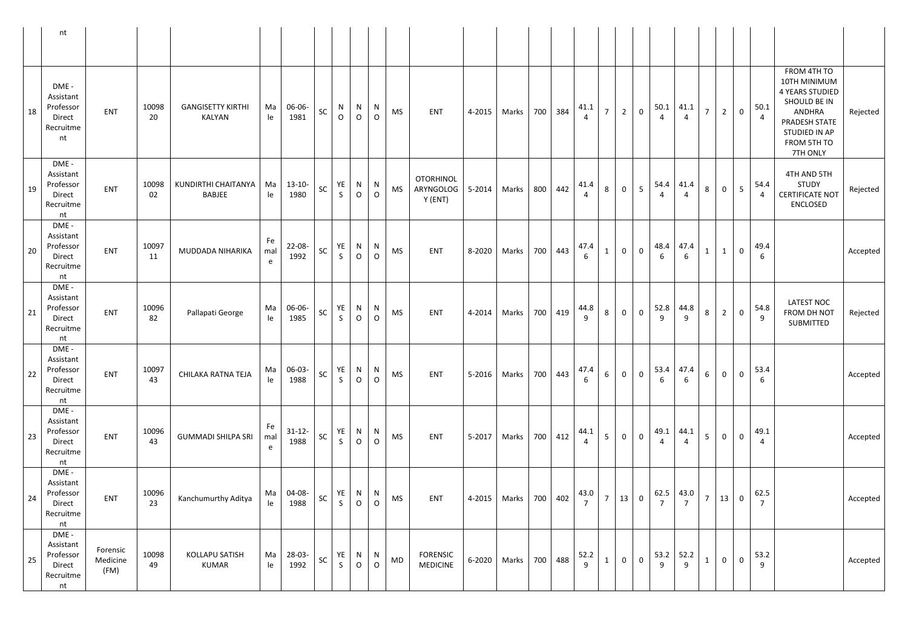|    | nt                                                           |                              |             |                                           |                |                     |          |                    |                          |                    |           |                                          |        |                            |     |         |           |                 |                |                         |           |                       |                 |                |                 |                        |                                                                                                                                              |          |
|----|--------------------------------------------------------------|------------------------------|-------------|-------------------------------------------|----------------|---------------------|----------|--------------------|--------------------------|--------------------|-----------|------------------------------------------|--------|----------------------------|-----|---------|-----------|-----------------|----------------|-------------------------|-----------|-----------------------|-----------------|----------------|-----------------|------------------------|----------------------------------------------------------------------------------------------------------------------------------------------|----------|
| 18 | DME -<br>Assistant<br>Professor<br>Direct<br>Recruitme<br>nt | ENT                          | 10098<br>20 | <b>GANGISETTY KIRTHI</b><br><b>KALYAN</b> | Ma<br>le       | 06-06-<br>1981      | SC       | N<br>$\mathsf{O}$  | N<br>$\overline{O}$      | N<br>$\circ$       | <b>MS</b> | <b>ENT</b>                               | 4-2015 | Marks                      | 700 | 384     | 41.1      | $\overline{7}$  | $\overline{2}$ | $\mathbf 0$             | 50.1<br>4 | 41.1<br>4             | 7 <sup>7</sup>  | $\overline{2}$ | $\overline{0}$  | 50.1<br>$\overline{4}$ | FROM 4TH TO<br>10TH MINIMUM<br><b>4 YEARS STUDIED</b><br>SHOULD BE IN<br>ANDHRA<br>PRADESH STATE<br>STUDIED IN AP<br>FROM 5TH TO<br>7TH ONLY | Rejected |
| 19 | DME -<br>Assistant<br>Professor<br>Direct<br>Recruitme<br>nt | <b>ENT</b>                   | 10098<br>02 | KUNDIRTHI CHAITANYA<br><b>BABJEE</b>      | Ma<br>le       | $13 - 10 -$<br>1980 | SC       | YE<br>S.           | N<br>$\circ$             | N<br>$\circ$       | <b>MS</b> | <b>OTORHINOL</b><br>ARYNGOLOG<br>Y (ENT) | 5-2014 | Marks   800                |     | 442     | 41.4      | 8               | $\mathbf{0}$   | 5                       | 54.4      | 41.4                  | 8               | $\overline{0}$ | $5\overline{)}$ | 54.4<br>4              | 4TH AND 5TH<br><b>STUDY</b><br><b>CERTIFICATE NOT</b><br>ENCLOSED                                                                            | Rejected |
| 20 | DME -<br>Assistant<br>Professor<br>Direct<br>Recruitme<br>nt | ENT                          | 10097<br>11 | MUDDADA NIHARIKA                          | Fe<br>mal<br>e | $22 - 08 -$<br>1992 | SC       | YE<br>$\mathsf{S}$ | N<br>$\mathsf{O}$        | N<br>$\circ$       | <b>MS</b> | ENT                                      | 8-2020 | Marks                      | 700 | 443     | 47.4      | $\mathbf{1}$    | $\mathbf 0$    | $\mathbf 0$             | 48.4<br>6 | 47.4<br>6             |                 | $\mathbf{1}$   | $\mathbf 0$     | 49.4<br>6              |                                                                                                                                              | Accepted |
| 21 | DME -<br>Assistant<br>Professor<br>Direct<br>Recruitme<br>nt | <b>ENT</b>                   | 10096<br>82 | Pallapati George                          | Ma<br>le       | 06-06-<br>1985      | SC       | YE<br>$\mathsf{S}$ | N<br>$\circ$             | N<br>$\circ$       | <b>MS</b> | <b>ENT</b>                               | 4-2014 | <b>Marks</b>               |     | 700 419 | 44.8<br>9 | 8               | $\mathbf 0$    | $\mathbf 0$             | 52.8<br>9 | 44.8<br>9             | 8               | $\overline{2}$ | $\overline{0}$  | 54.8<br>9              | <b>LATEST NOC</b><br>FROM DH NOT<br>SUBMITTED                                                                                                | Rejected |
| 22 | DME -<br>Assistant<br>Professor<br>Direct<br>Recruitme<br>nt | ENT                          | 10097<br>43 | CHILAKA RATNA TEJA                        | Ma<br>le       | 06-03-<br>1988      | $\sf SC$ | S                  | YE N N<br>$\overline{O}$ | $\overline{O}$     | <b>MS</b> | ENT                                      | 5-2016 | Marks                      | 700 | 443     | 47.4<br>6 | $6\phantom{.}6$ | $\overline{0}$ | $\mathbf 0$             | 6         | $53.4 \mid 47.4$<br>6 | $6\overline{6}$ | $\overline{0}$ | $\mathbf 0$     | 53.4<br>6              |                                                                                                                                              | Accepted |
| 23 | DME -<br>Assistant<br>Professor<br>Direct<br>Recruitme<br>nt | <b>ENT</b>                   | 10096<br>43 | <b>GUMMADI SHILPA SRI</b>                 | Fe<br>mal<br>e | $31-12-$<br>1988    | SC       | YE<br>S            | $\circ$                  | $N$   N<br>$\circ$ | <b>MS</b> | ENT                                      |        | 5-2017   Marks             |     | 700 412 | 44.1      | 5               | $\overline{0}$ | $\mathbf 0$             | 49.1      | 44.1                  | 5 <sub>1</sub>  | $\overline{0}$ | $\overline{0}$  | 49.1<br>4              |                                                                                                                                              | Accepted |
| 24 | DME -<br>Assistant<br>Professor<br>Direct<br>Recruitme<br>nt | <b>ENT</b>                   | 10096<br>23 | Kanchumurthy Aditya                       | Ma<br>le       | 04-08-<br>1988      | SC       | YE<br>S            | N<br>$\overline{O}$      | N<br>$\circ$       | <b>MS</b> | <b>ENT</b>                               | 4-2015 | Marks                      | 700 | 402     | 43.0      | $\overline{7}$  | 13             | $\overline{\mathbf{0}}$ | 62.5      | 43.0                  | 7 <sup>7</sup>  | 13             | $\mathbf 0$     | 62.5<br>$\overline{7}$ |                                                                                                                                              | Accepted |
| 25 | DME -<br>Assistant<br>Professor<br>Direct<br>Recruitme<br>nt | Forensic<br>Medicine<br>(FM) | 10098<br>49 | KOLLAPU SATISH<br><b>KUMAR</b>            | Ma<br>le       | 28-03-<br>1992      | SC       | YE  <br>S          | $\overline{O}$           | $N$ $N$<br>$\circ$ | MD        | FORENSIC<br><b>MEDICINE</b>              |        | 6-2020   Marks   700   488 |     |         | 52.2<br>9 | $\mathbf{1}$    | $\overline{0}$ | $\overline{0}$          | 9         | $53.2$ 52.2<br>9      | $\mathbf{1}$    | $\overline{0}$ | $\mathbf 0$     | 53.2                   |                                                                                                                                              | Accepted |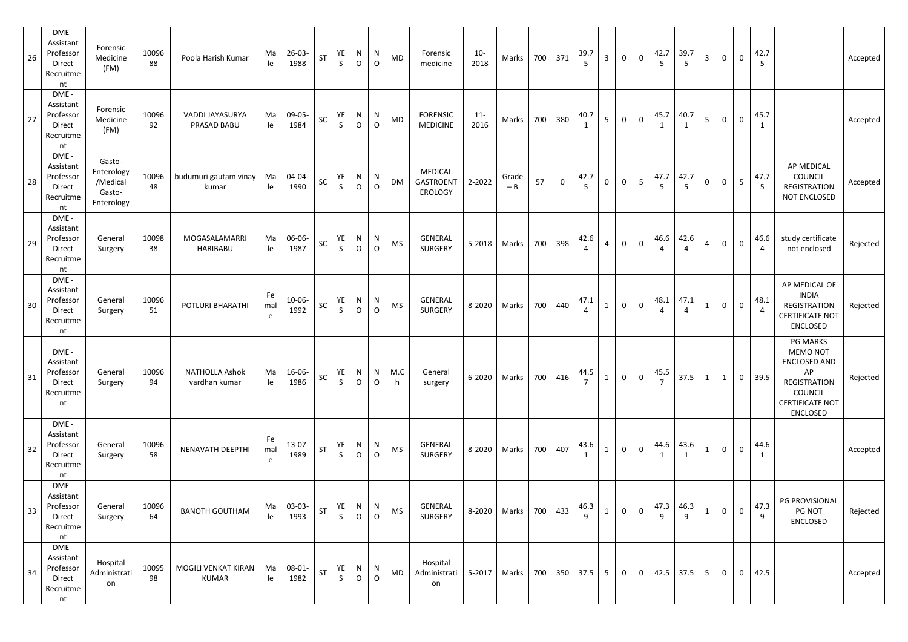| 26 | DME -<br>Assistant<br>Professor<br>Direct<br>Recruitme<br>nt | Forensic<br>Medicine<br>(FM)                             | 10096<br>88 | Poola Harish Kumar                     | Ma<br>le.      | $26 - 03 -$<br>1988 | ST         | YE<br>$\mathsf{S}$ | N<br>$\circ$      | N<br>$\circ$        | <b>MD</b> | Forensic<br>medicine                          | $10 -$<br>2018 | Marks          |     | 700 371        | 39.7<br>$\overline{5}$ | $\overline{3}$ | $\mathbf 0$    | $\mathsf 0$    | 42.7      | 39.7 | $\overline{3}$ | $\mathbf 0$         | $\mathbf 0$         | 42.7<br>5              |                                                                                                                                                | Accepted |
|----|--------------------------------------------------------------|----------------------------------------------------------|-------------|----------------------------------------|----------------|---------------------|------------|--------------------|-------------------|---------------------|-----------|-----------------------------------------------|----------------|----------------|-----|----------------|------------------------|----------------|----------------|----------------|-----------|------|----------------|---------------------|---------------------|------------------------|------------------------------------------------------------------------------------------------------------------------------------------------|----------|
| 27 | DME -<br>Assistant<br>Professor<br>Direct<br>Recruitme<br>nt | Forensic<br>Medicine<br>(FM)                             | 10096<br>92 | VADDI JAYASURYA<br>PRASAD BABU         | Ma<br>le       | 09-05-<br>1984      | ${\sf SC}$ | YE<br>$\mathsf{S}$ | N<br>$\circ$      | N<br>$\overline{O}$ | <b>MD</b> | <b>FORENSIC</b><br><b>MEDICINE</b>            | $11 -$<br>2016 | Marks          | 700 | 380            | 40.7<br>1              | 5 <sub>1</sub> | $\mathbf 0$    | $\mathbf 0$    | 45.7      | 40.7 | 5 <sup>5</sup> | $\mathsf{O}\xspace$ | $\mathbf 0$         | 45.7<br>$\mathbf{1}$   |                                                                                                                                                | Accepted |
| 28 | DME -<br>Assistant<br>Professor<br>Direct<br>Recruitme<br>nt | Gasto-<br>Enterology<br>/Medical<br>Gasto-<br>Enterology | 10096<br>48 | budumuri gautam vinay<br>kumar         | Ma<br>le       | 04-04-<br>1990      | SC         | YE<br>$\mathsf{S}$ | N<br>$\circ$      | N<br>$\circ$        | <b>DM</b> | MEDICAL<br><b>GASTROENT</b><br><b>EROLOGY</b> | 2-2022         | Grade<br>$- B$ | 57  | $\overline{0}$ | 42.7<br>5              | $\overline{0}$ | $\overline{0}$ | 5              | 47.7<br>5 | 42.7 | $\mathbf 0$    | $\mathsf{O}\xspace$ | 5 <sup>5</sup>      | 47.7<br>5              | <b>AP MEDICAL</b><br>COUNCIL<br>REGISTRATION<br>NOT ENCLOSED                                                                                   | Accepted |
| 29 | DME -<br>Assistant<br>Professor<br>Direct<br>Recruitme<br>nt | General<br>Surgery                                       | 10098<br>38 | MOGASALAMARRI<br><b>HARIBABU</b>       | Ma<br>le       | 06-06-<br>1987      | SC         | YE<br>$\mathsf{S}$ | N<br>$\circ$      | N<br>$\overline{O}$ | <b>MS</b> | <b>GENERAL</b><br><b>SURGERY</b>              | 5-2018         | Marks          | 700 | 398            | 42.6                   | $\overline{4}$ | $\mathbf 0$    | $\overline{0}$ | 46.6      | 42.6 | $\overline{4}$ | $\mathbf 0$         | $\mathbf 0$         | 46.6<br>$\overline{4}$ | study certificate<br>not enclosed                                                                                                              | Rejected |
| 30 | DME -<br>Assistant<br>Professor<br>Direct<br>Recruitme<br>nt | General<br>Surgery                                       | 10096<br>51 | POTLURI BHARATHI                       | Fe<br>mal<br>e | $10-06-$<br>1992    | SC         | YE<br>$\mathsf{S}$ | N<br>$\circ$      | N<br>$\mathsf{O}$   | <b>MS</b> | <b>GENERAL</b><br>SURGERY                     | 8-2020         | Marks          |     | 700 440        | 47.1                   | $\mathbf{1}$   | $\mathbf 0$    | $\mathbf 0$    | 48.1      | 47.1 | $\mathbf{1}$   | $\mathbf 0$         | $\mathbf 0$         | 48.1<br>$\overline{4}$ | AP MEDICAL OF<br><b>INDIA</b><br>REGISTRATION<br><b>CERTIFICATE NOT</b><br><b>ENCLOSED</b>                                                     | Rejected |
| 31 | DME -<br>Assistant<br>Professor<br>Direct<br>Recruitme<br>nt | General<br>Surgery                                       | 10096<br>94 | <b>NATHOLLA Ashok</b><br>vardhan kumar | Ma<br>le       | 16-06-<br>1986      | <b>SC</b>  | YE<br>S            | N<br>$\circ$      | N<br>$\overline{O}$ | M.C<br>h  | General<br>surgery                            | 6-2020         | Marks          |     | 700 416        | 44.5                   | $\mathbf{1}$   | $\overline{0}$ | $\mathsf 0$    | 45.5      | 37.5 | $\mathbf{1}$   | $\mathbf{1}$        | $\mathbf 0$         | 39.5                   | <b>PG MARKS</b><br><b>MEMO NOT</b><br><b>ENCLOSED AND</b><br>AP<br><b>REGISTRATION</b><br>COUNCIL<br><b>CERTIFICATE NOT</b><br><b>ENCLOSED</b> | Rejected |
| 32 | DME -<br>Assistant<br>Professor<br>Direct<br>Recruitme<br>nt | General<br>Surgery                                       | 10096<br>58 | NENAVATH DEEPTHI                       | Fe<br>mal<br>e | 13-07-<br>1989      | <b>ST</b>  | YE<br>S            | N<br>$\circ$      | N<br>$\circ$        | <b>MS</b> | <b>GENERAL</b><br>SURGERY                     | 8-2020         | Marks          | 700 | 407            | 43.6<br>1              | $\mathbf{1}$   | $\mathbf 0$    | $\mathsf 0$    | 44.6      | 43.6 | $\mathbf{1}$   | $\mathsf{O}\xspace$ | $\mathbf 0$         | 44.6<br>1              |                                                                                                                                                | Accepted |
| 33 | DME -<br>Assistant<br>Professor<br>Direct<br>Recruitme<br>nt | General<br>Surgery                                       | 10096<br>64 | <b>BANOTH GOUTHAM</b>                  | Ma<br>le       | 03-03-<br>1993      | ST         | YE<br>S            | N<br>$\mathsf{O}$ | N<br>$\mathsf{O}$   | <b>MS</b> | <b>GENERAL</b><br>SURGERY                     | 8-2020         | Marks          | 700 | 433            | 46.3<br>9              |                | $\overline{0}$ | $\mathsf 0$    | 47.3<br>9 | 46.3 | $\mathbf{1}$   | $\mathsf{O}\xspace$ | $\mathsf{O}\xspace$ | 47.3<br>9              | PG PROVISIONAL<br>PG NOT<br><b>ENCLOSED</b>                                                                                                    | Rejected |
| 34 | DME -<br>Assistant<br>Professor<br>Direct<br>Recruitme<br>nt | Hospital<br>Administrati<br>on                           | 10095<br>98 | MOGILI VENKAT KIRAN<br><b>KUMAR</b>    | Ma<br>le       | 08-01-<br>1982      | ST         | YE<br>S            | N<br>$\circ$      | N<br>$\mathsf{O}$   | <b>MD</b> | Hospital<br>Administrati<br>on                | $5 - 2017$     | Marks          |     |                | 700 350 37.5           | 5 <sup>5</sup> | $\overline{0}$ | $\overline{0}$ | 42.5      | 37.5 | 5 <sup>5</sup> | $\mathbf 0$         | $\mathbf 0$         | 42.5                   |                                                                                                                                                | Accepted |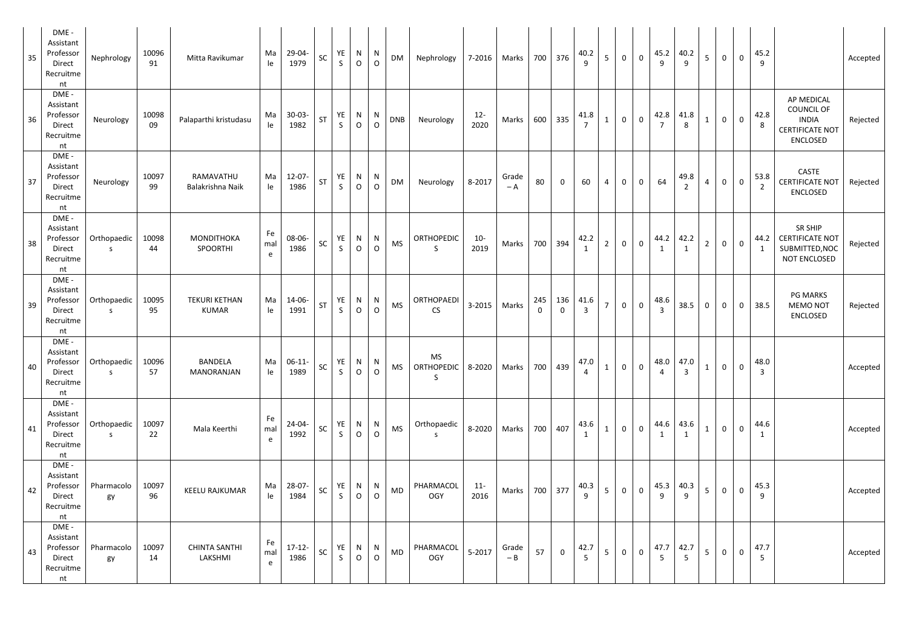| 35 | DME -<br>Assistant<br>Professor<br>Direct<br>Recruitme<br>nt | Nephrology                  | 10096<br>91 | Mitta Ravikumar                      | Ma<br>le       | 29-04-<br>1979                      | SC        | YE<br>$\mathsf{S}$ | N<br>$\circ$  | N<br>$\circ$        | DM         | Nephrology              |                | 7-2016   Marks |                     | 700 376        | 40.2<br>9                    | 5 <sup>5</sup> | $\overline{0}$ | $\mathbf 0$ | 45.2                   | 40.2      | 5 <sub>1</sub> | $\mathbf 0$  | $\mathbf 0$    | 45.2<br>9              |                                                                                              | Accepted |
|----|--------------------------------------------------------------|-----------------------------|-------------|--------------------------------------|----------------|-------------------------------------|-----------|--------------------|---------------|---------------------|------------|-------------------------|----------------|----------------|---------------------|----------------|------------------------------|----------------|----------------|-------------|------------------------|-----------|----------------|--------------|----------------|------------------------|----------------------------------------------------------------------------------------------|----------|
| 36 | DME -<br>Assistant<br>Professor<br>Direct<br>Recruitme<br>nt | Neurology                   | 10098<br>09 | Palaparthi kristudasu                | Ma<br>le       | $30 - 03 -$<br>1982                 | ST        | YE<br>$\mathsf{S}$ | $\frac{N}{O}$ | N<br>$\circ$        | <b>DNB</b> | Neurology               | $12 -$<br>2020 | Marks          | 600                 | 335            | 41.8                         | $\mathbf{1}$   | $\mathbf 0$    | $\mathbf 0$ | 42.8                   | 41.8      | $\mathbf{1}$   | $\mathbf 0$  | $\mathbf 0$    | 42.8<br>8              | AP MEDICAL<br><b>COUNCIL OF</b><br><b>INDIA</b><br><b>CERTIFICATE NOT</b><br><b>ENCLOSED</b> | Rejected |
| 37 | DME -<br>Assistant<br>Professor<br>Direct<br>Recruitme<br>nt | Neurology                   | 10097<br>99 | RAMAVATHU<br>Balakrishna Naik        | Ma<br>le       | $12 - 07 -$<br>1986                 | <b>ST</b> | YE<br>$\mathsf{S}$ | N<br>$\circ$  | N<br>$\circ$        | <b>DM</b>  | Neurology               | 8-2017         | Grade<br>$-A$  | 80                  | $\mathbf 0$    | 60                           | $\overline{4}$ | $\overline{0}$ | $\mathbf 0$ | 64                     | 49.8      | $\overline{4}$ | $\mathbf 0$  | $\mathsf 0$    | 53.8<br>$\overline{2}$ | CASTE<br><b>CERTIFICATE NOT</b><br><b>ENCLOSED</b>                                           | Rejected |
| 38 | DME -<br>Assistant<br>Professor<br>Direct<br>Recruitme<br>nt | Orthopaedic<br>S.           | 10098<br>44 | MONDITHOKA<br>SPOORTHI               | Fe<br>mal<br>e | 08-06-<br>1986                      | SC        | YE<br>$\mathsf{S}$ | N<br>$\circ$  | N<br>$\overline{O}$ | <b>MS</b>  | ORTHOPEDIC<br>S.        | $10-$<br>2019  | <b>Marks</b>   |                     | 700 394        | 42.2                         | $\overline{2}$ | $\overline{0}$ | $\mathsf 0$ | 44.2                   | 42.2      | $\overline{2}$ | $\mathsf{O}$ | $\mathbf 0$    | 44.2<br>1              | SR SHIP<br><b>CERTIFICATE NOT</b><br>SUBMITTED, NOC<br>NOT ENCLOSED                          | Rejected |
| 39 | DME -<br>Assistant<br>Professor<br>Direct<br>Recruitme<br>nt | Orthopaedic<br>S.           | 10095<br>95 | <b>TEKURI KETHAN</b><br><b>KUMAR</b> | Ma<br>le       | 14-06-<br>1991                      | ST        | YE<br>$\mathsf{S}$ | N<br>$\circ$  | N<br>$\circ$        | <b>MS</b>  | ORTHOPAEDI<br><b>CS</b> |                | 3-2015 Marks   | 245<br>$\mathbf{0}$ | $\mathbf 0$    | $136$ 41.6<br>$\overline{3}$ | 7 <sup>7</sup> | $\overline{0}$ | $\mathsf 0$ | 48.6<br>$\overline{3}$ | 38.5      | $\mathbf 0$    | $\mathbf 0$  | $\overline{0}$ | 38.5                   | <b>PG MARKS</b><br><b>MEMO NOT</b><br><b>ENCLOSED</b>                                        | Rejected |
| 40 | DME -<br>Assistant<br>Professor<br>Direct<br>Recruitme<br>nt | Orthopaedic<br><sub>S</sub> | 10096<br>57 | BANDELA<br>MANORANJAN                | le             | Ma 06-11- $SC$ $YE$ $N$ $N$<br>1989 |           | S.                 | $\circ$       | $\circ$             |            | <b>MS</b><br>S          |                |                |                     |                | 4                            |                |                |             | 4                      | 3         |                |              |                | 48.0<br>$\overline{3}$ |                                                                                              | Accepted |
| 41 | DME -<br>Assistant<br>Professor<br>Direct<br>Recruitme<br>nt | Orthopaedic<br>S.           | 10097<br>22 | Mala Keerthi                         | Fe<br>mal<br>e | $24 - 04 -$<br>1992                 | <b>SC</b> | YE<br>$\mathsf{S}$ | N<br>$\circ$  | N<br>$\mathsf{O}$   | <b>MS</b>  | Orthopaedic<br>S.       |                | 8-2020   Marks |                     | 700 407        | 43.6<br>1                    | 1              | $\overline{0}$ | $\mathbf 0$ | 44.6<br>1              | 43.6      | $\mathbf{1}$   | $\mathbf 0$  | $\mathbf 0$    | 44.6<br>1              |                                                                                              | Accepted |
| 42 | DME -<br>Assistant<br>Professor<br>Direct<br>Recruitme<br>nt | Pharmacolo<br>gy            | 10097<br>96 | KEELU RAJKUMAR                       | Ma<br>le       | 28-07-<br>1984                      | SC        | YE<br>$\mathsf{S}$ | N<br>$\circ$  | N<br>$\overline{O}$ | <b>MD</b>  | PHARMACOL<br><b>OGY</b> | $11 -$<br>2016 | Marks          | 700                 | 377            | 40.3<br>9                    | 5 <sub>1</sub> | $\mathbf{0}$   | $\mathbf 0$ | 45.3<br>9              | 40.3      | $5\phantom{.}$ | $\mathbf 0$  | $\mathbf 0$    | 45.3<br>9              |                                                                                              | Accepted |
| 43 | DME -<br>Assistant<br>Professor<br>Direct<br>Recruitme<br>nt | Pharmacolo<br>gy            | 10097<br>14 | <b>CHINTA SANTHI</b><br>LAKSHMI      | Fe<br>mal<br>e | $17-12-$<br>1986                    | SC        | YE<br>$\mathsf{S}$ | N<br>$\circ$  | N<br>$\overline{O}$ | <b>MD</b>  | PHARMACOL<br><b>OGY</b> | 5-2017         | Grade<br>$- B$ | 57                  | $\overline{0}$ | 42.7<br>$5\overline{5}$      | 5 <sup>5</sup> | $\overline{0}$ | $\mathbf 0$ | 47.7<br>5              | 42.7<br>5 | 5 <sub>1</sub> | $\mathsf 0$  | $\mathbf 0$    | 47.7<br>5              |                                                                                              | Accepted |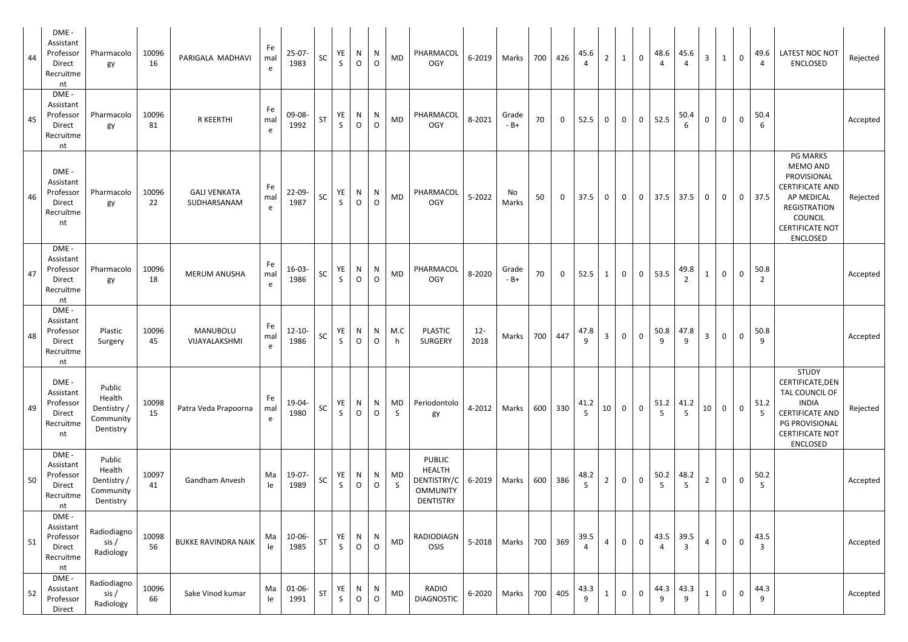| DME -<br>Assistant<br>Professor<br>44<br>Direct<br>Recruitme<br>nt | Pharmacolo<br>gy                                          | 10096<br>16 | PARIGALA MADHAVI                   | Fe<br>mal<br>e | $25-07-$<br>1983    | <b>SC</b> | YE<br>$\mathsf{S}$ | N<br>$\circ$                | N<br>$\mathsf{O}$ | MD                 | PHARMACOL<br><b>OGY</b>                                                              | 6-2019         | Marks          | 700 | 426            | 45.6                | $\overline{2}$ | $\mathbf{1}$   | $\overline{0}$ | 48.6       | 45.6                 | $\overline{3}$ | $\mathbf{1}$   | $\mathbf 0$    | 49.6<br>$\overline{4}$ | LATEST NOC NOT<br><b>ENCLOSED</b>                                                                                                                                 | Rejected |
|--------------------------------------------------------------------|-----------------------------------------------------------|-------------|------------------------------------|----------------|---------------------|-----------|--------------------|-----------------------------|-------------------|--------------------|--------------------------------------------------------------------------------------|----------------|----------------|-----|----------------|---------------------|----------------|----------------|----------------|------------|----------------------|----------------|----------------|----------------|------------------------|-------------------------------------------------------------------------------------------------------------------------------------------------------------------|----------|
| DME -<br>Assistant<br>Professor<br>45<br>Direct<br>Recruitme<br>nt | Pharmacolo<br>gy                                          | 10096<br>81 | R KEERTHI                          | Fe<br>mal<br>e | 09-08-<br>1992      | <b>ST</b> | YE<br>$\mathsf{S}$ | N<br>$\circ$                | N<br>$\circ$      | <b>MD</b>          | PHARMACOL<br><b>OGY</b>                                                              | 8-2021         | Grade<br>$-B+$ | 70  | $\mathbf 0$    | 52.5                | $\overline{0}$ | $\overline{0}$ | $\overline{0}$ | 52.5       | 50.4                 | $\mathbf 0$    | $\mathbf 0$    | $\mathsf 0$    | 50.4<br>6              |                                                                                                                                                                   | Accepted |
| DME -<br>Assistant<br>Professor<br>46<br>Direct<br>Recruitme<br>nt | Pharmacolo<br>gy                                          | 10096<br>22 | <b>GALI VENKATA</b><br>SUDHARSANAM | Fe<br>mal<br>e | 22-09-<br>1987      | <b>SC</b> | YE<br>$\mathsf{S}$ | N<br>$\circ$                | N<br>$\circ$      | MD                 | PHARMACOL<br><b>OGY</b>                                                              | $5 - 2022$     | No<br>Marks    | 50  | $\overline{0}$ | 37.5                | $\overline{0}$ | $\overline{0}$ | $\overline{0}$ | 37.5       | 37.5                 | $\mathbf{0}$   | $\overline{0}$ | $\overline{0}$ | 37.5                   | <b>PG MARKS</b><br><b>MEMO AND</b><br>PROVISIONAL<br><b>CERTIFICATE AND</b><br>AP MEDICAL<br>REGISTRATION<br>COUNCIL<br><b>CERTIFICATE NOT</b><br><b>ENCLOSED</b> | Rejected |
| DME-<br>Assistant<br>Professor<br>47<br>Direct<br>Recruitme<br>nt  | Pharmacolo<br>gy                                          | 10096<br>18 | <b>MERUM ANUSHA</b>                | Fe<br>mal<br>e | $16-03-$<br>1986    | SC        | YE<br>$\mathsf{S}$ | N<br>$\mathsf{O}$           | N<br>$\mathsf{O}$ | MD                 | PHARMACOL<br><b>OGY</b>                                                              | 8-2020         | Grade<br>$-B+$ | 70  | $\mathbf 0$    | 52.5                | $\mathbf{1}$   | $\overline{0}$ | $\overline{0}$ | 53.5       | 49.8                 | $\mathbf{1}$   | $\mathbf 0$    | $\mathbf 0$    | 50.8<br>$\overline{2}$ |                                                                                                                                                                   | Accepted |
| DME -<br>Assistant<br>Professor<br>48<br>Direct<br>Recruitme<br>nt | Plastic<br>Surgery                                        | 10096<br>45 | MANUBOLU<br>VIJAYALAKSHMI          | Fe<br>mal<br>e | $12 - 10 -$<br>1986 | SC        | YE<br>$\mathsf{S}$ | N<br>$\mathsf{O}$           | N<br>$\circ$      | M.C<br>h.          | <b>PLASTIC</b><br><b>SURGERY</b>                                                     | $12 -$<br>2018 | Marks          |     | 700 447        | 47.8<br>9           | 3 <sup>1</sup> | $\overline{0}$ | $\mathbf 0$    | 50.8<br>9  | 47.8<br>9            | $\mathbf{3}$   | $\mathbf 0$    | $\overline{0}$ | 50.8<br>9              |                                                                                                                                                                   | Accepted |
| DME -<br>Assistant<br>Professor<br>49<br>Direct<br>Recruitme<br>nt | Public<br>Health<br>Dentistry /<br>Community<br>Dentistry | 10098<br>15 | Patra Veda Prapoorna               | Fe<br>mal<br>e | 19-04-<br>1980      | <b>SC</b> | YE<br>$\mathsf{S}$ | N<br>$\mathsf O$            | N<br>$\mathsf O$  | MD<br>$\mathsf{S}$ | Periodontolo<br>gy                                                                   | 4-2012         | Marks          | 600 | 330            | 41.2<br>$5^{\circ}$ | 10             | $\overline{0}$ | $\overline{0}$ | 51.2<br>.5 | 41.2<br>5            | 10             | $\mathbf 0$    | $\mathbf 0$    | 51.2<br>5 <sup>5</sup> | <b>STUDY</b><br>CERTIFICATE, DEN<br>TAL COUNCIL OF<br><b>INDIA</b><br><b>CERTIFICATE AND</b><br>PG PROVISIONAL<br><b>CERTIFICATE NOT</b><br><b>ENCLOSED</b>       | Rejected |
| DME-<br>Assistant<br>Professor<br>50<br>Direct<br>Recruitme<br>nt  | Public<br>Health<br>Dentistry /<br>Community<br>Dentistry | 10097<br>41 | Gandham Anvesh                     | Ma<br>le       | 19-07-<br>1989      | SC        | YE<br>$\mathsf{S}$ | $\mathsf{N}$<br>$\mathsf O$ | N<br>$\mathsf{O}$ | MD<br>S            | <b>PUBLIC</b><br><b>HEALTH</b><br>DENTISTRY/C<br><b>OMMUNITY</b><br><b>DENTISTRY</b> | 6-2019         | Marks          | 600 | 386            | 48.2<br>5           | $\overline{2}$ | $\overline{0}$ | $\mathbf 0$    | 50.2       | 48.2<br>5            | $\overline{2}$ | $\mathbf 0$    | $\pmb{0}$      | 50.2<br>5              |                                                                                                                                                                   | Accepted |
| DME -<br>Assistant<br>Professor<br>51<br>Direct<br>Recruitme<br>nt | Radiodiagno<br>sis/<br>Radiology                          | 10098<br>56 | <b>BUKKE RAVINDRA NAIK</b>         | Ma<br>le       | 10-06-<br>1985      | <b>ST</b> | YE<br>$\mathsf{S}$ | N<br>$\circ$                | N<br>$\circ$      | <b>MD</b>          | RADIODIAGN<br>OSIS                                                                   | 5-2018         | Marks          | 700 | 369            | 39.5                | 4              | $\overline{0}$ | $\overline{0}$ | 43.5<br>4  | 39.5<br>$\mathbf{3}$ | $\overline{4}$ | $\mathbf 0$    | $\mathsf 0$    | 43.5<br>$\overline{3}$ |                                                                                                                                                                   | Accepted |
| DME-<br>Assistant<br>52<br>Professor<br>Direct                     | Radiodiagno<br>sis/<br>Radiology                          | 10096<br>66 | Sake Vinod kumar                   | Ma<br>le       | 01-06-<br>1991      | <b>ST</b> | YE<br>$\mathsf{S}$ | N<br>$\mathsf O$            | N<br>$\mathsf{O}$ | <b>MD</b>          | RADIO<br><b>DIAGNOSTIC</b>                                                           | 6-2020         | Marks          | 700 | 405            | 43.3<br>9           | $\mathbf{1}$   | $\overline{0}$ | $\mathbf 0$    | 44.3<br>9  | 43.3<br>9            | $\mathbf 1$    | $\mathbf 0$    | $\mathbf 0$    | 44.3<br>$\overline{9}$ |                                                                                                                                                                   | Accepted |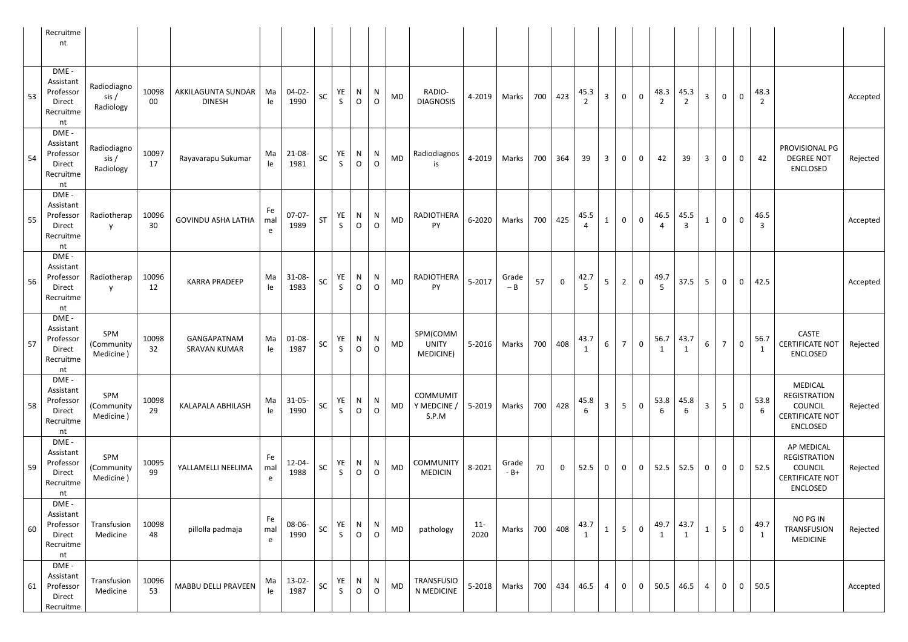|    | Recruitme<br>nt                                              |                                   |             |                                     |                |                     |           |                    |                     |                         |           |                                       |               |                |     |                |                        |                 |                |                |           |                        |                |                     |              |                        |                                                                                               |          |
|----|--------------------------------------------------------------|-----------------------------------|-------------|-------------------------------------|----------------|---------------------|-----------|--------------------|---------------------|-------------------------|-----------|---------------------------------------|---------------|----------------|-----|----------------|------------------------|-----------------|----------------|----------------|-----------|------------------------|----------------|---------------------|--------------|------------------------|-----------------------------------------------------------------------------------------------|----------|
| 53 | DME -<br>Assistant<br>Professor<br>Direct<br>Recruitme<br>nt | Radiodiagno<br>sis /<br>Radiology | 10098<br>00 | AKKILAGUNTA SUNDAR<br><b>DINESH</b> | Ma<br>le       | $04-02-$<br>1990    | SC        | YE<br>S            | N<br>$\mathsf{O}$   | N<br>$\circ$            | MD        | RADIO-<br><b>DIAGNOSIS</b>            | 4-2019        | Marks          | 700 | 423            | 45.3<br>2              | $\mathbf{3}$    | $\overline{0}$ | $\overline{0}$ | 48.3<br>2 | 45.3<br>$\overline{2}$ | $\mathbf{3}$   | $\mathbf 0$         | $\mathsf{O}$ | 48.3<br>$\overline{2}$ |                                                                                               | Accepted |
| 54 | DME -<br>Assistant<br>Professor<br>Direct<br>Recruitme<br>nt | Radiodiagno<br>sis /<br>Radiology | 10097<br>17 | Rayavarapu Sukumar                  | Ma<br>le       | 21-08-<br>1981      | SC        | YE<br>S            | N<br>$\mathsf{O}$   | N<br>$\circ$            | MD        | Radiodiagnos<br>is                    | 4-2019        | Marks          | 700 | 364            | 39                     | $\mathbf{3}$    | $\overline{0}$ | $\mathbf{0}$   | 42        | 39                     | $\mathbf{3}$   | $\mathbf 0$         | $\mathbf 0$  | 42                     | PROVISIONAL PG<br><b>DEGREE NOT</b><br><b>ENCLOSED</b>                                        | Rejected |
| 55 | DME -<br>Assistant<br>Professor<br>Direct<br>Recruitme<br>nt | Radiotherap<br>$\mathsf{V}$       | 10096<br>30 | <b>GOVINDU ASHA LATHA</b>           | Fe<br>mal<br>e | $07-07-$<br>1989    | <b>ST</b> | YE<br>S            | N<br>$\mathsf{O}$   | N<br>$\circ$            | MD        | RADIOTHERA<br>PY                      | 6-2020        | Marks          | 700 | 425            | 45.5                   | $\mathbf{1}$    | $\overline{0}$ | $\overline{0}$ | 46.5      | 45.5                   | $\mathbf{1}$   | $\mathsf{O}\xspace$ | $\mathbf 0$  | 46.5<br>3              |                                                                                               | Accepted |
| 56 | DME -<br>Assistant<br>Professor<br>Direct<br>Recruitme<br>nt | Radiotherap<br><b>y</b>           | 10096<br>12 | <b>KARRA PRADEEP</b>                | Ma<br>le       | $31-08-$<br>1983    | SC        | YE<br>$\mathsf{S}$ | N<br>$\overline{O}$ | N<br>$\circ$            | MD        | RADIOTHERA<br>PY                      | 5-2017        | Grade<br>$-B$  | 57  | $\overline{0}$ | 42.7<br>$\overline{5}$ | 5 <sup>1</sup>  | $2^{\circ}$    | $\overline{0}$ | 49.7<br>5 | 37.5                   | 5 <sub>1</sub> | $\mathbf 0$         | $\mathbf{0}$ | 42.5                   |                                                                                               | Accepted |
| 57 | DME -<br>Assistant<br>Professor<br>Direct<br>Recruitme<br>nt | SPM<br>(Community<br>Medicine)    | 10098<br>32 | GANGAPATNAM<br><b>SRAVAN KUMAR</b>  | Ma<br>le       | $01 - 08 -$<br>1987 | SC        | YE<br>S            | N<br>$\mathsf{O}$   | N<br>$\overline{O}$     | MD        | SPM(COMM<br><b>UNITY</b><br>MEDICINE) | 5-2016        | Marks          | 700 | 408            | 43.7<br>1              | $6\overline{6}$ | 7 <sup>7</sup> | $\overline{0}$ | 56.7<br>1 | 43.7<br>$\mathbf{1}$   | 6 <sup>1</sup> | $\overline{7}$      | $\mathbf 0$  | 56.7<br>$\mathbf{1}$   | CASTE<br><b>CERTIFICATE NOT</b><br><b>ENCLOSED</b>                                            | Rejected |
| 58 | DME -<br>Assistant<br>Professor<br>Direct<br>Recruitme<br>nt | SPM<br>(Community<br>Medicine)    | 10098<br>29 | KALAPALA ABHILASH                   | Ma<br>le       | $31 - 05 -$<br>1990 | <b>SC</b> | YE<br>$\mathsf{S}$ | N<br>$\mathsf O$    | $\mathsf{N}$<br>$\circ$ | <b>MD</b> | COMMUMIT<br>Y MEDCINE /<br>S.P.M      | 5-2019        | Marks          | 700 | 428            | 45.8<br>6              | $\overline{3}$  | 5 <sup>5</sup> | $\overline{0}$ | 53.8<br>6 | 45.8<br>6              | $\overline{3}$ | 5 <sup>1</sup>      | $\mathbf 0$  | 53.8<br>6              | <b>MEDICAL</b><br>REGISTRATION<br><b>COUNCIL</b><br><b>CERTIFICATE NOT</b><br><b>ENCLOSED</b> | Rejected |
| 59 | DME -<br>Assistant<br>Professor<br>Direct<br>Recruitme<br>nt | SPM<br>(Community<br>Medicine)    | 10095<br>99 | YALLAMELLI NEELIMA                  | Fe<br>mal<br>e | $12 - 04 -$<br>1988 | SC        | YE<br>S.           | N<br>$\overline{O}$ | N<br>$\circ$            | MD        | <b>COMMUNITY</b><br><b>MEDICIN</b>    | 8-2021        | Grade<br>$-B+$ | 70  | $\overline{0}$ | 52.5                   | $\overline{0}$  | $\overline{0}$ | $\mathbf 0$    | 52.5      | 52.5                   | $\mathbf{0}$   | $\mathbf 0$         | $\mathbf 0$  | 52.5                   | AP MEDICAL<br>REGISTRATION<br>COUNCIL<br><b>CERTIFICATE NOT</b><br><b>ENCLOSED</b>            | Rejected |
| 60 | DME -<br>Assistant<br>Professor<br>Direct<br>Recruitme<br>nt | Transfusion<br>Medicine           | 10098<br>48 | pillolla padmaja                    | Fe<br>mal<br>e | 08-06-<br>1990      | SC        | YE<br>S            | N<br>$\mathsf O$    | N<br>$\circ$            | <b>MD</b> | pathology                             | $11-$<br>2020 | Marks          | 700 | 408            | 43.7                   | $\mathbf{1}$    | 5 <sup>5</sup> | $\overline{0}$ | 49.7      | 43.7<br>1              | $\mathbf{1}$   | 5 <sub>1</sub>      | $\mathbf 0$  | 49.7<br>$\mathbf{1}$   | NO PG IN<br><b>TRANSFUSION</b><br><b>MEDICINE</b>                                             | Rejected |
| 61 | DME -<br>Assistant<br>Professor<br>Direct<br>Recruitme       | Transfusion<br>Medicine           | 10096<br>53 | MABBU DELLI PRAVEEN                 | Ma<br>le       | $13-02-$<br>1987    | SC        | YE<br>S            | N<br>$\mathsf{O}$   | N<br>$\circ$            | <b>MD</b> | <b>TRANSFUSIO</b><br>N MEDICINE       | 5-2018        | Marks          | 700 | 434            | 46.5                   | 4               | $\mathbf{0}$   | $\mathbf 0$    | 50.5      | 46.5                   | $\overline{4}$ | $\mathbf{0}$        | $\mathbf{0}$ | 50.5                   |                                                                                               | Accepted |